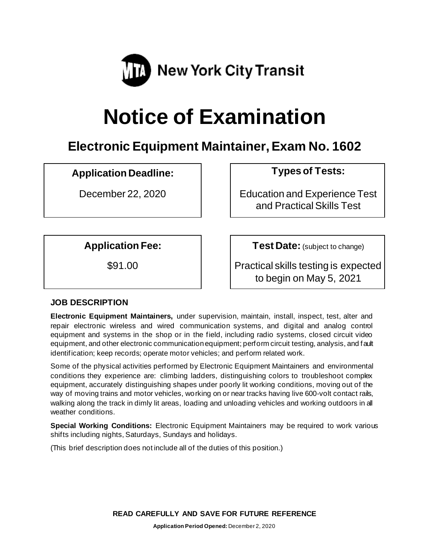

# **Notice of Examination**

# **Electronic Equipment Maintainer, Exam No. 1602**

# **Application Deadline: Types of Tests:**

December 22, 2020 | Education and Experience Test and Practical Skills Test

**Application Fee: Test Date:** (subject to change)

\$91.00 Practical skills testing is expected to begin on May 5, 2021

# **JOB DESCRIPTION**

**Electronic Equipment Maintainers,** under supervision, maintain, install, inspect, test, alter and repair electronic wireless and wired communication systems, and digital and analog control equipment and systems in the shop or in the field, including radio systems, closed circuit video equipment, and other electronic communication equipment; perform circuit testing, analysis, and fault identification; keep records; operate motor vehicles; and perform related work.

Some of the physical activities performed by Electronic Equipment Maintainers and environmental conditions they experience are: climbing ladders, distinguishing colors to troubleshoot complex equipment, accurately distinguishing shapes under poorly lit working conditions, moving out of the way of moving trains and motor vehicles, working on or near tracks having live 600-volt contact rails, walking along the track in dimly lit areas, loading and unloading vehicles and working outdoors in all weather conditions.

**Special Working Conditions:** Electronic Equipment Maintainers may be required to work various shifts including nights, Saturdays, Sundays and holidays.

(This brief description does not include all of the duties of this position.)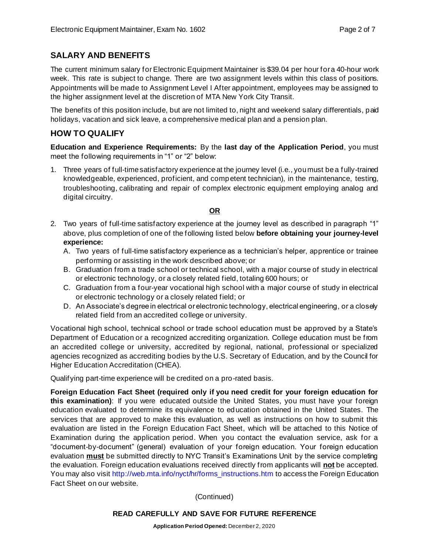# **SALARY AND BENEFITS**

The current minimum salary for Electronic Equipment Maintainer is \$39.04 per hour for a 40-hour work week. This rate is subject to change. There are two assignment levels within this class of positions. Appointments will be made to Assignment Level I After appointment, employees may be assigned to the higher assignment level at the discretion of MTA New York City Transit.

The benefits of this position include, but are not limited to, night and weekend salary differentials, paid holidays, vacation and sick leave, a comprehensive medical plan and a pension plan.

# **HOW TO QUALIFY**

**Education and Experience Requirements:** By the **last day of the Application Period**, you must meet the following requirements in "1" or "2" below:

1. Three years of full-time satisfactory experience at the journey level (i.e., you must be a fully-trained knowledgeable, experienced, proficient, and competent technician), in the maintenance, testing, troubleshooting, calibrating and repair of complex electronic equipment employing analog and digital circuitry.

### **OR**

- 2. Two years of full-time satisfactory experience at the journey level as described in paragraph "1" above, plus completion of one of the following listed below **before obtaining your journey-level experience:**
	- A. Two years of full-time satisfactory experience as a technician's helper, apprentice or trainee performing or assisting in the work described above; or
	- B. Graduation from a trade school or technical school, with a major course of study in electrical or electronic technology, or a closely related field, totaling 600 hours; or
	- C. Graduation from a four-year vocational high school with a major course of study in electrical or electronic technology or a closely related field; or
	- D. An Associate's degree in electrical or electronic technology, electrical engineering, or a closely related field from an accredited college or university.

Vocational high school, technical school or trade school education must be approved by a State's Department of Education or a recognized accrediting organization. College education must be from an accredited college or university, accredited by regional, national, professional or specialized agencies recognized as accrediting bodies by the U.S. Secretary of Education, and by the Council for Higher Education Accreditation (CHEA).

Qualifying part-time experience will be credited on a pro-rated basis.

**Foreign Education Fact Sheet (required only if you need credit for your foreign education for this examination)**: If you were educated outside the United States, you must have your foreign education evaluated to determine its equivalence to education obtained in the United States. The services that are approved to make this evaluation, as well as instructions on how to submit this evaluation are listed in the Foreign Education Fact Sheet, which will be attached to this Notice of Examination during the application period. When you contact the evaluation service, ask for a "document-by-document" (general) evaluation of your foreign education. Your foreign education evaluation **must** be submitted directly to NYC Transit's Examinations Unit by the service completing the evaluation. Foreign education evaluations received directly from applicants will **not** be accepted. You may also visi[t http://web.mta.info/nyct/hr/forms\\_instructions.htm](http://web.mta.info/nyct/hr/forms_instructions.htm) to access the Foreign Education Fact Sheet on our website.

(Continued)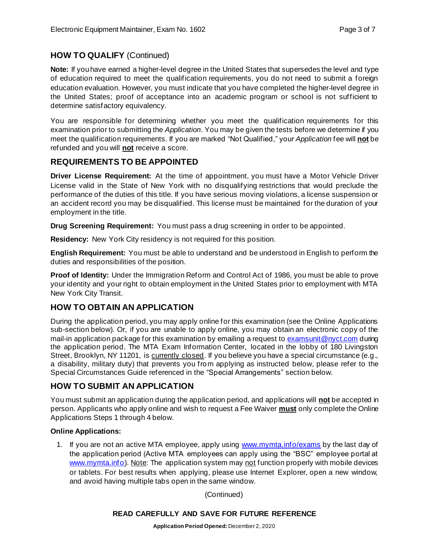# **HOW TO QUALIFY** (Continued)

**Note:** If you have earned a higher-level degree in the United States that supersedes the level and type of education required to meet the qualification requirements, you do not need to submit a foreign education evaluation. However, you must indicate that you have completed the higher-level degree in the United States; proof of acceptance into an academic program or school is not sufficient to determine satisfactory equivalency.

You are responsible for determining whether you meet the qualification requirements for this examination prior to submitting the *Application*. You may be given the tests before we determine if you meet the qualification requirements. If you are marked "Not Qualified," your *Application* fee will **not** be refunded and you will **not** receive a score.

# **REQUIREMENTS TO BE APPOINTED**

**Driver License Requirement:** At the time of appointment, you must have a Motor Vehicle Driver License valid in the State of New York with no disqualifying restrictions that would preclude the performance of the duties of this title. If you have serious moving violations, a license suspension or an accident record you may be disqualified. This license must be maintained for the duration of your employment in the title.

**Drug Screening Requirement:** You must pass a drug screening in order to be appointed.

**Residency:** New York City residency is not required for this position.

**English Requirement:** You must be able to understand and be understood in English to perform the duties and responsibilities of the position.

**Proof of Identity:** Under the Immigration Reform and Control Act of 1986, you must be able to prove your identity and your right to obtain employment in the United States prior to employment with MTA New York City Transit.

# **HOW TO OBTAIN AN APPLICATION**

During the application period, you may apply online for this examination (see the Online Applications sub-section below). Or, if you are unable to apply online, you may obtain an electronic copy of the mail-in application package for this examination by emailing a request to [examsunit@nyct.com](mailto:examsunit@nyct.com) during the application period. The MTA Exam Information Center, located in the lobby of 180 Livingston Street, Brooklyn, NY 11201, is currently closed. If you believe you have a special circumstance (e.g., a disability, military duty) that prevents you from applying as instructed below, please refer to the Special Circumstances Guide referenced in the "Special Arrangements" section below.

# **HOW TO SUBMIT AN APPLICATION**

You must submit an application during the application period, and applications will **not** be accepted in person. Applicants who apply online and wish to request a Fee Waiver **must** only complete the Online Applications Steps 1 through 4 below.

#### **Online Applications:**

1. If you are not an active MTA employee, apply using [www.mymta.info/exams](http://www.mymta.info/exams) by the last day of the application period (Active MTA employees can apply using the "BSC" employee portal at [www.mymta.info\)](http://www.mymta.info/). Note: The application system may not function properly with mobile devices or tablets. For best results when applying, please use Internet Explorer, open a new window, and avoid having multiple tabs open in the same window.

(Continued)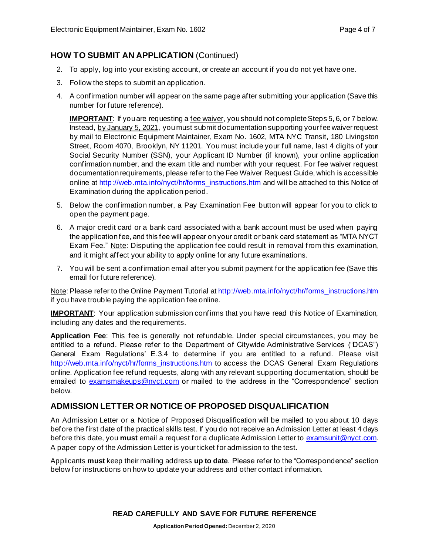# **HOW TO SUBMIT AN APPLICATION** (Continued)

- 2. To apply, log into your existing account, or create an account if you do not yet have one.
- 3. Follow the steps to submit an application.
- 4. A confirmation number will appear on the same page after submitting your application (Save this number for future reference).

**IMPORTANT**: If you are requesting a <u>fee waiver</u>, you should not complete Steps 5, 6, or 7 below. Instead, by January 5, 2021, you must submit documentation supporting your fee waiver request by mail to Electronic Equipment Maintainer, Exam No. 1602, MTA NYC Transit, 180 Livingston Street, Room 4070, Brooklyn, NY 11201. You must include your full name, last 4 digits of your Social Security Number (SSN), your Applicant ID Number (if known), your online application confirmation number, and the exam title and number with your request. For fee waiver request documentation requirements, please refer to the Fee Waiver Request Guide, which is accessible online at [http://web.mta.info/nyct/hr/forms\\_instructions.htm](http://web.mta.info/nyct/hr/forms_instructions.htm) and will be attached to this Notice of Examination during the application period.

- 5. Below the confirmation number, a Pay Examination Fee button will appear for you to click to open the payment page.
- 6. A major credit card or a bank card associated with a bank account must be used when paying the application fee, and this fee will appear on your credit or bank card statement as "MTA NYCT Exam Fee." Note: Disputing the application fee could result in removal from this examination, and it might affect your ability to apply online for any future examinations.
- 7. You will be sent a confirmation email after you submit payment for the application fee (Save this email for future reference).

Note: Please refer to the Online Payment Tutorial at [http://web.mta.info/nyct/hr/forms\\_instructions.htm](http://web.mta.info/nyct/hr/forms_instructions.htm) if you have trouble paying the application fee online.

**IMPORTANT**: Your application submission confirms that you have read this Notice of Examination, including any dates and the requirements.

**Application Fee**: This fee is generally not refundable. Under special circumstances, you may be entitled to a refund. Please refer to the Department of Citywide Administrative Services ("DCAS") General Exam Regulations' E.3.4 to determine if you are entitled to a refund. Please visit [http://web.mta.info/nyct/hr/forms\\_instructions.htm](http://web.mta.info/nyct/hr/forms_instructions.htm) to access the DCAS General Exam Regulations online. Application fee refund requests, along with any relevant supporting documentation, should be emailed to [examsmakeups@nyct.com](mailto:examsmakeups@nyct.com) or mailed to the address in the "Correspondence" section below.

# **ADMISSION LETTER OR NOTICE OF PROPOSED DISQUALIFICATION**

An Admission Letter or a Notice of Proposed Disqualification will be mailed to you about 10 days before the first date of the practical skills test. If you do not receive an Admission Letter at least 4 days before this date, you **must** email a request for a duplicate Admission Letter to [examsunit@nyct.com.](mailto:examsunit@nyct.com) A paper copy of the Admission Letter is your ticket for admission to the test.

Applicants **must** keep their mailing address **up to date**. Please refer to the "Correspondence" section below for instructions on how to update your address and other contact information.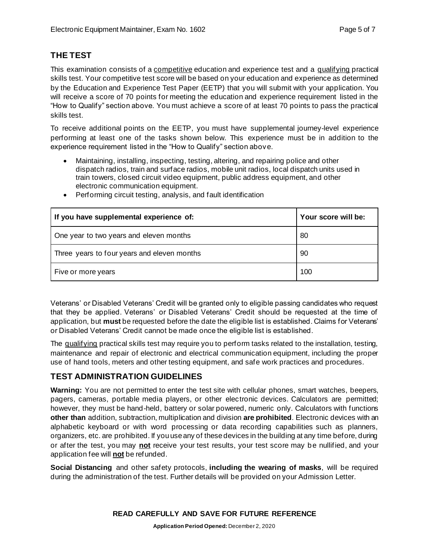# **THE TEST**

This examination consists of a *competitive* education and experience test and a qualifying practical skills test. Your competitive test score will be based on your education and experience as determined by the Education and Experience Test Paper (EETP) that you will submit with your application. You will receive a score of 70 points for meeting the education and experience requirement listed in the "How to Qualify" section above. You must achieve a score of at least 70 points to pass the practical skills test.

To receive additional points on the EETP, you must have supplemental journey-level experience performing at least one of the tasks shown below. This experience must be in addition to the experience requirement listed in the "How to Qualify" section above.

• Maintaining, installing, inspecting, testing, altering, and repairing police and other dispatch radios, train and surface radios, mobile unit radios, local dispatch units used in train towers, closed circuit video equipment, public address equipment, and other electronic communication equipment.

| If you have supplemental experience of:     | Your score will be: |
|---------------------------------------------|---------------------|
| One year to two years and eleven months     | 80                  |
| Three years to four years and eleven months | 90                  |
| Five or more years                          | 100                 |

• Performing circuit testing, analysis, and fault identification

Veterans' or Disabled Veterans' Credit will be granted only to eligible passing candidates who request that they be applied. Veterans' or Disabled Veterans' Credit should be requested at the time of application, but **must** be requested before the date the eligible list is established. Claims for Veterans' or Disabled Veterans' Credit cannot be made once the eligible list is established.

The qualifying practical skills test may require you to perform tasks related to the installation, testing, maintenance and repair of electronic and electrical communication equipment, including the proper use of hand tools, meters and other testing equipment, and safe work practices and procedures.

# **TEST ADMINISTRATION GUIDELINES**

**Warning:** You are not permitted to enter the test site with cellular phones, smart watches, beepers, pagers, cameras, portable media players, or other electronic devices. Calculators are permitted; however, they must be hand-held, battery or solar powered, numeric only. Calculators with functions **other than** addition, subtraction, multiplication and division **are prohibited**. Electronic devices with an alphabetic keyboard or with word processing or data recording capabilities such as planners, organizers, etc. are prohibited. If you use any of these devices in the building at any time before, during or after the test, you may **not** receive your test results, your test score may be nullified, and your application fee will **not** be refunded.

**Social Distancing** and other safety protocols, **including the wearing of masks**, will be required during the administration of the test. Further details will be provided on your Admission Letter.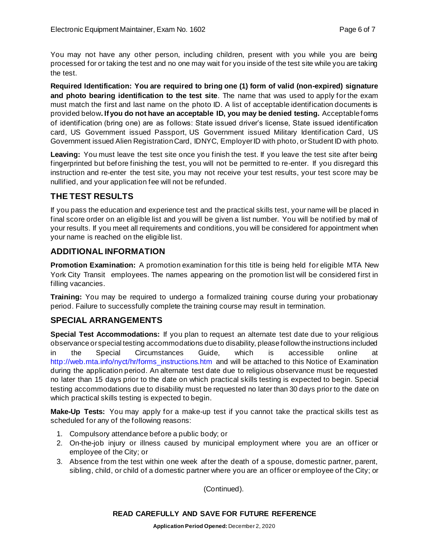You may not have any other person, including children, present with you while you are being processed for or taking the test and no one may wait for you inside of the test site while you are taking the test.

**Required Identification: You are required to bring one (1) form of valid (non-expired) signature and photo bearing identification to the test site**. The name that was used to apply for the exam must match the first and last name on the photo ID. A list of acceptable identification documents is provided below**. If you do not have an acceptable ID, you may be denied testing.** Acceptable forms of identification (bring one) are as follows: State issued driver's license, State issued identification card, US Government issued Passport, US Government issued Military Identification Card, US Government issued Alien Registration Card, IDNYC, Employer ID with photo, or Student ID with photo.

**Leaving:** You must leave the test site once you finish the test. If you leave the test site after being fingerprinted but before finishing the test, you will not be permitted to re-enter. If you disregard this instruction and re-enter the test site, you may not receive your test results, your test score may be nullified, and your application fee will not be refunded.

# **THE TEST RESULTS**

If you pass the education and experience test and the practical skills test, your name will be placed in final score order on an eligible list and you will be given a list number. You will be notified by mail of your results. If you meet all requirements and conditions, you will be considered for appointment when your name is reached on the eligible list.

# **ADDITIONAL INFORMATION**

**Promotion Examination:** A promotion examination for this title is being held for eligible MTA New York City Transit employees. The names appearing on the promotion list will be considered first in filling vacancies.

**Training:** You may be required to undergo a formalized training course during your probationary period. Failure to successfully complete the training course may result in termination.

# **SPECIAL ARRANGEMENTS**

**Special Test Accommodations:** If you plan to request an alternate test date due to your religious observance or special testing accommodations due to disability, please follow the instructions included in the Special Circumstances Guide, which is accessible online at [http://web.mta.info/nyct/hr/forms\\_instructions.htm](http://web.mta.info/nyct/hr/forms_instructions.htm) and will be attached to this Notice of Examination during the application period. An alternate test date due to religious observance must be requested no later than 15 days prior to the date on which practical skills testing is expected to begin. Special testing accommodations due to disability must be requested no later than 30 days prior to the date on which practical skills testing is expected to begin.

**Make-Up Tests:** You may apply for a make-up test if you cannot take the practical skills test as scheduled for any of the following reasons:

- 1. Compulsory attendance before a public body; or
- 2. On-the-job injury or illness caused by municipal employment where you are an officer or employee of the City; or
- 3. Absence from the test within one week after the death of a spouse, domestic partner, parent, sibling, child, or child of a domestic partner where you are an officer or employee of the City; or

(Continued).